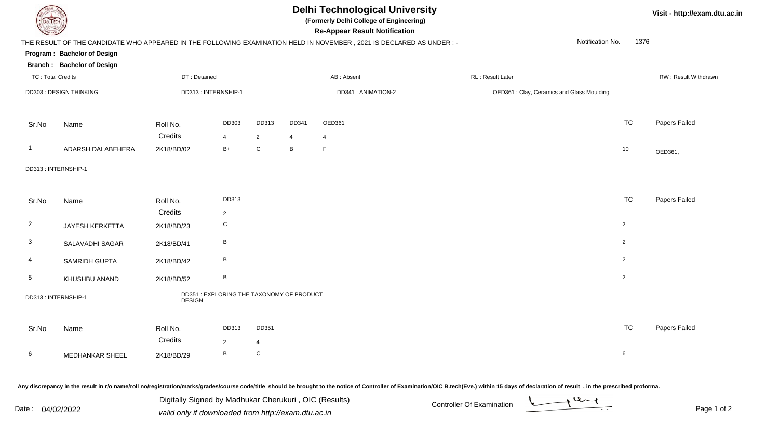

## **Delhi Technological University**

**(Formerly Delhi College of Engineering)**

**Re-Appear Result Notification**

**Visit - http://exam.dtu.ac.in**

|                          |                                   |                                                            |                         |                         |            | THE RESULT OF THE CANDIDATE WHO APPEARED IN THE FOLLOWING EXAMINATION HELD IN NOVEMBER, 2021 IS DECLARED AS UNDER:- | Notification No.                          | 1376           |                      |
|--------------------------|-----------------------------------|------------------------------------------------------------|-------------------------|-------------------------|------------|---------------------------------------------------------------------------------------------------------------------|-------------------------------------------|----------------|----------------------|
|                          | Program: Bachelor of Design       |                                                            |                         |                         |            |                                                                                                                     |                                           |                |                      |
|                          | <b>Branch: Bachelor of Design</b> |                                                            |                         |                         |            |                                                                                                                     |                                           |                |                      |
| <b>TC: Total Credits</b> |                                   | DT: Detained                                               |                         |                         |            | AB: Absent                                                                                                          | RL: Result Later                          |                | RW: Result Withdrawn |
|                          | DD303 : DESIGN THINKING           | DD313: INTERNSHIP-1                                        |                         |                         |            | DD341: ANIMATION-2                                                                                                  | OED361: Clay, Ceramics and Glass Moulding |                |                      |
| Sr.No                    | Name                              | Roll No.<br>Credits                                        | DD303<br>4              | DD313<br>$\overline{2}$ | DD341<br>4 | OED361<br>4                                                                                                         |                                           | <b>TC</b>      | Papers Failed        |
| $\mathbf{1}$             | ADARSH DALABEHERA                 | 2K18/BD/02                                                 | $B+$                    | $\mathsf{C}$            | B          | F                                                                                                                   |                                           | 10             | OED361,              |
|                          | DD313: INTERNSHIP-1               |                                                            |                         |                         |            |                                                                                                                     |                                           |                |                      |
| Sr.No                    | Name                              | Roll No.<br>Credits                                        | DD313<br>$\overline{c}$ |                         |            |                                                                                                                     |                                           | <b>TC</b>      | Papers Failed        |
| $\overline{2}$           | JAYESH KERKETTA                   | 2K18/BD/23                                                 | C                       |                         |            |                                                                                                                     |                                           | $\overline{2}$ |                      |
| $\mathbf{3}$             | SALAVADHI SAGAR                   | 2K18/BD/41                                                 | $\, {\sf B}$            |                         |            |                                                                                                                     |                                           | $\overline{2}$ |                      |
| 4                        | SAMRIDH GUPTA                     | 2K18/BD/42                                                 | $\, {\bf B}$            |                         |            |                                                                                                                     |                                           | $\overline{2}$ |                      |
| $5\phantom{.0}$          | KHUSHBU ANAND                     | 2K18/BD/52                                                 | $\, {\bf B}$            |                         |            |                                                                                                                     |                                           | $\overline{2}$ |                      |
|                          | DD313: INTERNSHIP-1               | DD351 : EXPLORING THE TAXONOMY OF PRODUCT<br><b>DESIGN</b> |                         |                         |            |                                                                                                                     |                                           |                |                      |
| Sr.No                    | Name                              | Roll No.<br>Credits                                        | DD313<br>$\overline{c}$ | DD351<br>4              |            |                                                                                                                     |                                           | <b>TC</b>      | Papers Failed        |
| 6                        | MEDHANKAR SHEEL                   | 2K18/BD/29                                                 | B                       | $\mathbf C$             |            |                                                                                                                     |                                           | 6              |                      |
|                          |                                   |                                                            |                         |                         |            |                                                                                                                     |                                           |                |                      |

Any discrepancy in the result in r/o name/roll no/registration/marks/grades/course code/title should be brought to the notice of Controller of Examination/OIC B.tech(Eve.) within 15 days of declaration of result, in the pr

|      |            | i, OIC (Results)<br>Digitally Signed by Madhukar Cherukuri, | Controller Of L<br>Examination |      |
|------|------------|-------------------------------------------------------------|--------------------------------|------|
| Date | 04/02/2022 | d only if downloaded from http://exam.dtu.ac.in<br>valio    |                                | Paɑe |

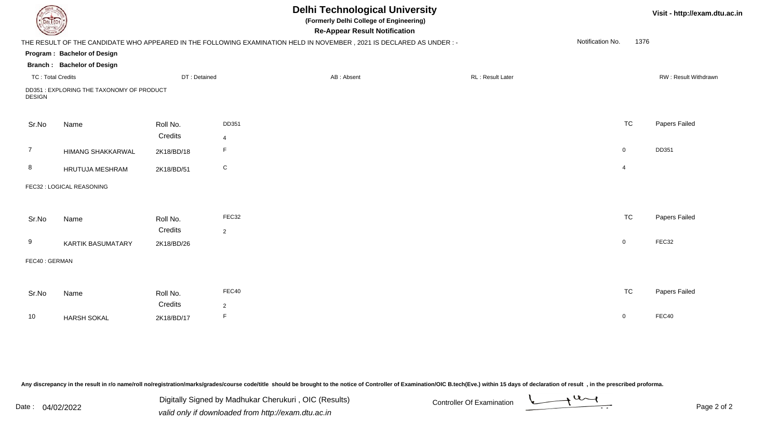| EL ECH                   |                                           |              |                | <b>Delhi Technological University</b><br>(Formerly Delhi College of Engineering)<br><b>Re-Appear Result Notification</b> |                   |                  | Visit - http://exam.dtu.ac.in |
|--------------------------|-------------------------------------------|--------------|----------------|--------------------------------------------------------------------------------------------------------------------------|-------------------|------------------|-------------------------------|
|                          |                                           |              |                | THE RESULT OF THE CANDIDATE WHO APPEARED IN THE FOLLOWING EXAMINATION HELD IN NOVEMBER, 2021 IS DECLARED AS UNDER:-      |                   | Notification No. | 1376                          |
|                          | Program: Bachelor of Design               |              |                |                                                                                                                          |                   |                  |                               |
|                          | <b>Branch: Bachelor of Design</b>         |              |                |                                                                                                                          |                   |                  |                               |
| <b>TC: Total Credits</b> |                                           | DT: Detained |                | AB: Absent                                                                                                               | RL : Result Later |                  | RW: Result Withdrawn          |
| <b>DESIGN</b>            | DD351 : EXPLORING THE TAXONOMY OF PRODUCT |              |                |                                                                                                                          |                   |                  |                               |
| Sr.No                    | Name                                      | Roll No.     | DD351          |                                                                                                                          |                   | <b>TC</b>        | Papers Failed                 |
|                          |                                           | Credits      | $\overline{4}$ |                                                                                                                          |                   |                  |                               |
| $\overline{7}$           | HIMANG SHAKKARWAL                         | 2K18/BD/18   | $\mathsf F$    |                                                                                                                          |                   | $\mathbf 0$      | DD351                         |
| 8                        | HRUTUJA MESHRAM                           | 2K18/BD/51   | ${\rm C}$      |                                                                                                                          |                   | 4                |                               |
|                          | FEC32 : LOGICAL REASONING                 |              |                |                                                                                                                          |                   |                  |                               |
| Sr.No                    | Name                                      | Roll No.     | FEC32          |                                                                                                                          |                   | <b>TC</b>        | Papers Failed                 |
|                          |                                           | Credits      | $\overline{2}$ |                                                                                                                          |                   |                  |                               |
| 9                        | <b>KARTIK BASUMATARY</b>                  | 2K18/BD/26   |                |                                                                                                                          |                   | $\overline{0}$   | FEC32                         |
| FEC40: GERMAN            |                                           |              |                |                                                                                                                          |                   |                  |                               |
|                          |                                           |              |                |                                                                                                                          |                   |                  |                               |
| Sr.No                    | Name                                      | Roll No.     | FEC40          |                                                                                                                          |                   | <b>TC</b>        | Papers Failed                 |
|                          |                                           | Credits      | $\overline{2}$ |                                                                                                                          |                   |                  |                               |
| 10                       | <b>HARSH SOKAL</b>                        | 2K18/BD/17   | $\mathsf F$    |                                                                                                                          |                   | $\mathbf 0$      | FEC40                         |

| Date |            | Digitally Signed by Madhukar Cherukuri, OIC (Results) | <b>Controller Of Examination</b> |  |
|------|------------|-------------------------------------------------------|----------------------------------|--|
|      | 04/02/2022 | valid only if downloaded from http://exam.dtu.ac.in   |                                  |  |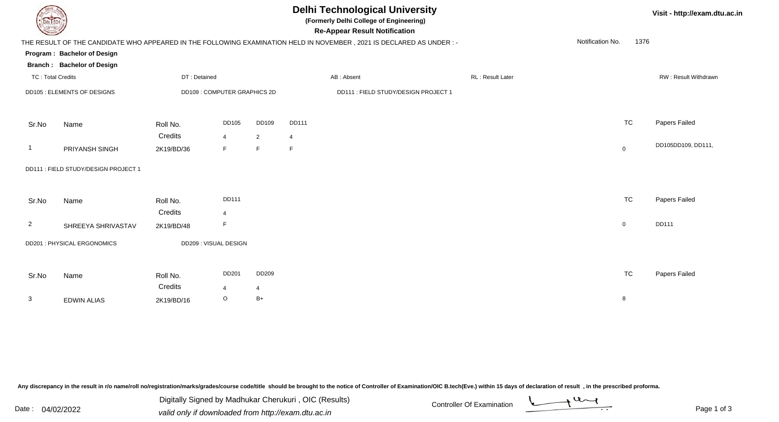|                          | <b>Delhi Technological University</b><br>(Formerly Delhi College of Engineering)<br><b>DELTECH</b><br><b>Re-Appear Result Notification</b> |              |                             |                |                |                                                                                                                      |  |                         |                  |                | Visit - http://exam.dtu.ac.in |  |
|--------------------------|--------------------------------------------------------------------------------------------------------------------------------------------|--------------|-----------------------------|----------------|----------------|----------------------------------------------------------------------------------------------------------------------|--|-------------------------|------------------|----------------|-------------------------------|--|
|                          |                                                                                                                                            |              |                             |                |                | THE RESULT OF THE CANDIDATE WHO APPEARED IN THE FOLLOWING EXAMINATION HELD IN NOVEMBER, 2021 IS DECLARED AS UNDER :- |  |                         | Notification No. | 1376           |                               |  |
|                          | Program: Bachelor of Design                                                                                                                |              |                             |                |                |                                                                                                                      |  |                         |                  |                |                               |  |
|                          | <b>Branch: Bachelor of Design</b>                                                                                                          |              |                             |                |                |                                                                                                                      |  |                         |                  |                |                               |  |
| <b>TC: Total Credits</b> |                                                                                                                                            | DT: Detained |                             |                |                | AB: Absent                                                                                                           |  | <b>RL: Result Later</b> |                  |                | RW: Result Withdrawn          |  |
|                          | DD105 : ELEMENTS OF DESIGNS                                                                                                                |              | DD109: COMPUTER GRAPHICS 2D |                |                | DD111 : FIELD STUDY/DESIGN PROJECT 1                                                                                 |  |                         |                  |                |                               |  |
| Sr.No                    | Name                                                                                                                                       | Roll No.     | <b>DD105</b>                | DD109          | <b>DD111</b>   |                                                                                                                      |  |                         |                  | <b>TC</b>      | Papers Failed                 |  |
|                          |                                                                                                                                            | Credits      | $\overline{4}$              | $\overline{2}$ | $\overline{4}$ |                                                                                                                      |  |                         |                  |                |                               |  |
| -1                       | PRIYANSH SINGH                                                                                                                             | 2K19/BD/36   | F                           | F              | F              |                                                                                                                      |  |                         |                  | $\overline{0}$ | DD105DD109, DD111,            |  |
|                          | DD111 : FIELD STUDY/DESIGN PROJECT 1                                                                                                       |              |                             |                |                |                                                                                                                      |  |                         |                  |                |                               |  |
| Sr.No                    | Name                                                                                                                                       | Roll No.     | <b>DD111</b>                |                |                |                                                                                                                      |  |                         |                  | <b>TC</b>      | Papers Failed                 |  |
|                          |                                                                                                                                            | Credits      | $\overline{4}$              |                |                |                                                                                                                      |  |                         |                  |                |                               |  |
| $\overline{2}$           | SHREEYA SHRIVASTAV                                                                                                                         | 2K19/BD/48   | F                           |                |                |                                                                                                                      |  |                         |                  | $\overline{0}$ | DD111                         |  |
|                          | DD201 : PHYSICAL ERGONOMICS                                                                                                                |              | DD209 : VISUAL DESIGN       |                |                |                                                                                                                      |  |                         |                  |                |                               |  |
| Sr.No                    | Name                                                                                                                                       | Roll No.     | DD201                       | DD209          |                |                                                                                                                      |  |                         |                  | <b>TC</b>      | Papers Failed                 |  |
|                          |                                                                                                                                            | Credits      | $\overline{4}$              | 4              |                |                                                                                                                      |  |                         |                  |                |                               |  |
| 3                        | <b>EDWIN ALIAS</b>                                                                                                                         | 2K19/BD/16   | $\circ$                     | $B+$           |                |                                                                                                                      |  |                         |                  | 8              |                               |  |

Digitally Signed by Madhukar Cherukuri, OIC (Results)<br>Date : 04/02/2022 valid only if downloaded from http://oxam.dtu.ac.in Digitally Signed by Madhukar Cherukuri , OIC (Results)valid only if downloaded from http://exam.dtu.ac.in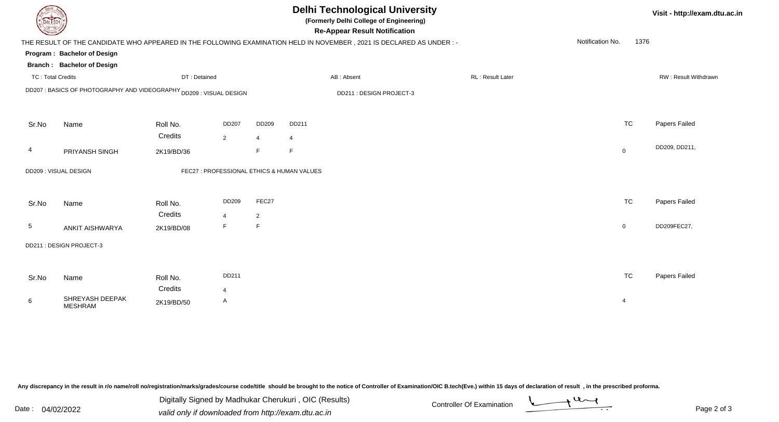| <b>DELIECH</b>           |                                                                     |              |                |                | <b>Delhi Technological University</b><br>(Formerly Delhi College of Engineering)<br><b>Re-Appear Result Notification</b> |                  |                  | Visit - http://exam.dtu.ac.in |
|--------------------------|---------------------------------------------------------------------|--------------|----------------|----------------|--------------------------------------------------------------------------------------------------------------------------|------------------|------------------|-------------------------------|
|                          |                                                                     |              |                |                | THE RESULT OF THE CANDIDATE WHO APPEARED IN THE FOLLOWING EXAMINATION HELD IN NOVEMBER, 2021 IS DECLARED AS UNDER :-     |                  | Notification No. | 1376                          |
|                          | Program: Bachelor of Design                                         |              |                |                |                                                                                                                          |                  |                  |                               |
|                          | <b>Branch: Bachelor of Design</b>                                   |              |                |                |                                                                                                                          |                  |                  |                               |
| <b>TC: Total Credits</b> |                                                                     | DT: Detained |                |                | AB: Absent                                                                                                               | RL: Result Later |                  | RW: Result Withdrawn          |
|                          | DD207 : BASICS OF PHOTOGRAPHY AND VIDEOGRAPHY DD209 : VISUAL DESIGN |              |                |                | DD211 : DESIGN PROJECT-3                                                                                                 |                  |                  |                               |
| Sr.No                    | Name                                                                | Roll No.     | <b>DD207</b>   | DD209          | DD211                                                                                                                    |                  | <b>TC</b>        | Papers Failed                 |
|                          |                                                                     | Credits      | $\overline{2}$ | $\overline{4}$ | 4                                                                                                                        |                  |                  |                               |
| 4                        | PRIYANSH SINGH                                                      | 2K19/BD/36   |                | F.             | F                                                                                                                        |                  | $\boldsymbol{0}$ | DD209, DD211,                 |
|                          | DD209: VISUAL DESIGN                                                |              |                |                | FEC27 : PROFESSIONAL ETHICS & HUMAN VALUES                                                                               |                  |                  |                               |
| Sr.No                    | Name                                                                | Roll No.     | DD209          | FEC27          |                                                                                                                          |                  | <b>TC</b>        | Papers Failed                 |
|                          |                                                                     | Credits      | $\overline{4}$ | $\overline{2}$ |                                                                                                                          |                  |                  |                               |
| 5                        | <b>ANKIT AISHWARYA</b>                                              | 2K19/BD/08   | F.             | F.             |                                                                                                                          |                  | $\mathbf 0$      | DD209FEC27,                   |
|                          | DD211 : DESIGN PROJECT-3                                            |              |                |                |                                                                                                                          |                  |                  |                               |
|                          |                                                                     |              |                |                |                                                                                                                          |                  |                  |                               |
| Sr.No                    | Name                                                                | Roll No.     | DD211          |                |                                                                                                                          |                  | <b>TC</b>        | Papers Failed                 |
|                          |                                                                     | Credits      | $\overline{4}$ |                |                                                                                                                          |                  |                  |                               |
| 6                        | SHREYASH DEEPAK<br><b>MESHRAM</b>                                   | 2K19/BD/50   | A              |                |                                                                                                                          |                  | $\overline{4}$   |                               |

Digitally Signed by Madhukar Cherukuri, OIC (Results)<br>Date : 04/02/2022 valid only if downloaded from http://oxam.dtu.ac.in Digitally Signed by Madhukar Cherukuri , OIC (Results)valid only if downloaded from http://exam.dtu.ac.in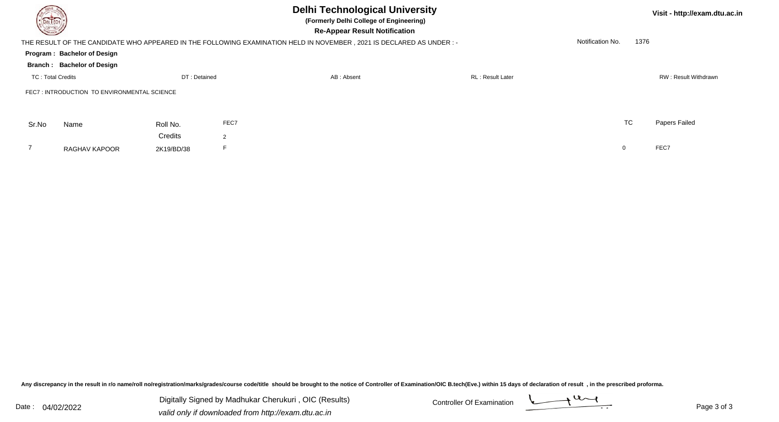| <b>DELTECH</b>           |                                             |              |                | <b>Delhi Technological University</b><br>(Formerly Delhi College of Engineering)<br><b>Re-Appear Result Notification</b> |                         |                  |      | Visit - http://exam.dtu.ac.in |
|--------------------------|---------------------------------------------|--------------|----------------|--------------------------------------------------------------------------------------------------------------------------|-------------------------|------------------|------|-------------------------------|
|                          |                                             |              |                | THE RESULT OF THE CANDIDATE WHO APPEARED IN THE FOLLOWING EXAMINATION HELD IN NOVEMBER , 2021 IS DECLARED AS UNDER :-    |                         | Notification No. | 1376 |                               |
|                          | Program: Bachelor of Design                 |              |                |                                                                                                                          |                         |                  |      |                               |
|                          | <b>Branch: Bachelor of Design</b>           |              |                |                                                                                                                          |                         |                  |      |                               |
| <b>TC: Total Credits</b> |                                             | DT: Detained |                | AB: Absent                                                                                                               | <b>RL: Result Later</b> |                  |      | RW: Result Withdrawn          |
|                          | FEC7: INTRODUCTION TO ENVIRONMENTAL SCIENCE |              |                |                                                                                                                          |                         |                  |      |                               |
| Sr.No                    | Name                                        | Roll No.     | FEC7           |                                                                                                                          |                         | <b>TC</b>        |      | Papers Failed                 |
|                          |                                             | Credits      | $\overline{2}$ |                                                                                                                          |                         |                  |      |                               |
|                          | RAGHAV KAPOOR                               | 2K19/BD/38   |                |                                                                                                                          |                         | $\overline{0}$   |      | FEC7                          |

Digitally Signed by Madhukar Cherukuri, OIC (Results) Controller Of Examination Controller Of Examination Digitally Signed by Madhukar Cherukuri , OIC (Results)valid only if downloaded from http://exam.dtu.ac.in

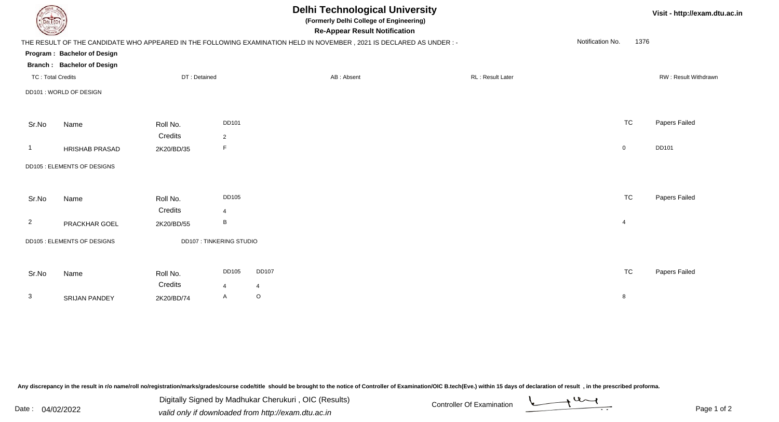| EL ECH                   | <b>Delhi Technological University</b><br>(Formerly Delhi College of Engineering)<br><b>Re-Appear Result Notification</b> |              |                                |                |                                                                                                                      |                  |                  |      | Visit - http://exam.dtu.ac.in |  |  |
|--------------------------|--------------------------------------------------------------------------------------------------------------------------|--------------|--------------------------------|----------------|----------------------------------------------------------------------------------------------------------------------|------------------|------------------|------|-------------------------------|--|--|
|                          |                                                                                                                          |              |                                |                | THE RESULT OF THE CANDIDATE WHO APPEARED IN THE FOLLOWING EXAMINATION HELD IN NOVEMBER, 2021 IS DECLARED AS UNDER :- |                  | Notification No. | 1376 |                               |  |  |
|                          | Program: Bachelor of Design                                                                                              |              |                                |                |                                                                                                                      |                  |                  |      |                               |  |  |
|                          | <b>Branch: Bachelor of Design</b>                                                                                        |              |                                |                |                                                                                                                      |                  |                  |      |                               |  |  |
| <b>TC: Total Credits</b> |                                                                                                                          | DT: Detained |                                |                | AB: Absent                                                                                                           | RL: Result Later |                  |      | RW: Result Withdrawn          |  |  |
|                          | DD101 : WORLD OF DESIGN                                                                                                  |              |                                |                |                                                                                                                      |                  |                  |      |                               |  |  |
| Sr.No                    | Name                                                                                                                     | Roll No.     | DD101                          |                |                                                                                                                      |                  | <b>TC</b>        |      | Papers Failed                 |  |  |
|                          |                                                                                                                          | Credits      | $\overline{2}$                 |                |                                                                                                                      |                  |                  |      |                               |  |  |
| -1                       | <b>HRISHAB PRASAD</b>                                                                                                    | 2K20/BD/35   | E                              |                |                                                                                                                      |                  | $\overline{0}$   |      | DD101                         |  |  |
|                          | DD105 : ELEMENTS OF DESIGNS                                                                                              |              |                                |                |                                                                                                                      |                  |                  |      |                               |  |  |
| Sr.No                    | Name                                                                                                                     | Roll No.     | DD105                          |                |                                                                                                                      |                  | <b>TC</b>        |      | Papers Failed                 |  |  |
|                          |                                                                                                                          | Credits      | 4                              |                |                                                                                                                      |                  |                  |      |                               |  |  |
| $\overline{2}$           | PRACKHAR GOEL                                                                                                            | 2K20/BD/55   | В                              |                |                                                                                                                      |                  | $\overline{4}$   |      |                               |  |  |
|                          | DD105 : ELEMENTS OF DESIGNS                                                                                              |              | <b>DD107: TINKERING STUDIO</b> |                |                                                                                                                      |                  |                  |      |                               |  |  |
| Sr.No                    | Name                                                                                                                     | Roll No.     | DD105                          | <b>DD107</b>   |                                                                                                                      |                  | <b>TC</b>        |      | Papers Failed                 |  |  |
|                          |                                                                                                                          | Credits      | 4                              | $\overline{4}$ |                                                                                                                      |                  |                  |      |                               |  |  |
| 3                        | <b>SRIJAN PANDEY</b>                                                                                                     | 2K20/BD/74   | A                              | $\circ$        |                                                                                                                      |                  | 8                |      |                               |  |  |

Digitally Signed by Madhukar Cherukuri, OIC (Results)<br>Date : 04/02/2022 valid only if downloaded from http://oxam.dtu.ac.in Digitally Signed by Madhukar Cherukuri , OIC (Results)valid only if downloaded from http://exam.dtu.ac.in